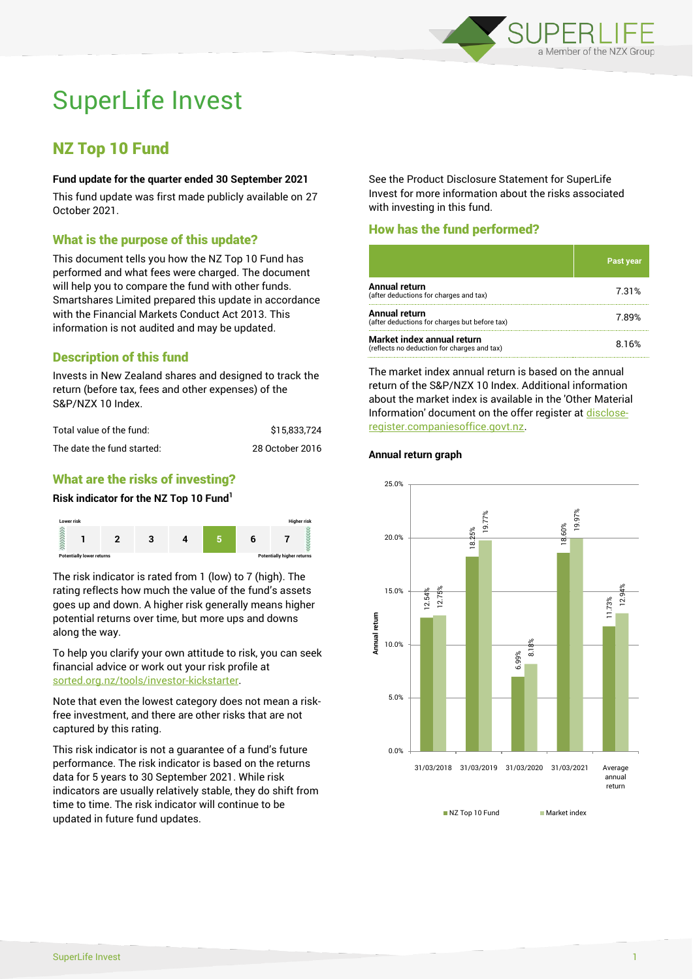

# SuperLife Invest

# NZ Top 10 Fund

#### **Fund update for the quarter ended 30 September 2021**

This fund update was first made publicly available on 27 October 2021.

### What is the purpose of this update?

This document tells you how the NZ Top 10 Fund has performed and what fees were charged. The document will help you to compare the fund with other funds. Smartshares Limited prepared this update in accordance with the Financial Markets Conduct Act 2013. This information is not audited and may be updated.

# Description of this fund

Invests in New Zealand shares and designed to track the return (before tax, fees and other expenses) of the S&P/NZX 10 Index.

| Total value of the fund:   | \$15,833,724    |
|----------------------------|-----------------|
| The date the fund started: | 28 October 2016 |

# What are the risks of investing?

#### **Risk indicator for the NZ Top 10 Fund<sup>1</sup>**



The risk indicator is rated from 1 (low) to 7 (high). The rating reflects how much the value of the fund's assets goes up and down. A higher risk generally means higher potential returns over time, but more ups and downs along the way.

To help you clarify your own attitude to risk, you can seek financial advice or work out your risk profile at [sorted.org.nz/tools/investor-kickstarter.](http://www.sorted.org.nz/tools/investor-kickstarter)

Note that even the lowest category does not mean a riskfree investment, and there are other risks that are not captured by this rating.

This risk indicator is not a guarantee of a fund's future performance. The risk indicator is based on the returns data for 5 years to 30 September 2021. While risk indicators are usually relatively stable, they do shift from time to time. The risk indicator will continue to be updated in future fund updates.

See the Product Disclosure Statement for SuperLife Invest for more information about the risks associated with investing in this fund.

### How has the fund performed?

|                                                                           | Past year |
|---------------------------------------------------------------------------|-----------|
| Annual return<br>(after deductions for charges and tax)                   | 7.31%     |
| Annual return<br>(after deductions for charges but before tax)            | 7.89%     |
| Market index annual return<br>(reflects no deduction for charges and tax) | 8.16%     |

The market index annual return is based on the annual return of the S&P/NZX 10 Index. Additional information about the market index is available in the 'Other Material Information' document on the offer register a[t disclose](http://www.disclose-register.companiesoffice.govt.nz/)[register.companiesoffice.govt.nz.](http://www.disclose-register.companiesoffice.govt.nz/)

# **Annual return graph**



NZ Top 10 Fund Market index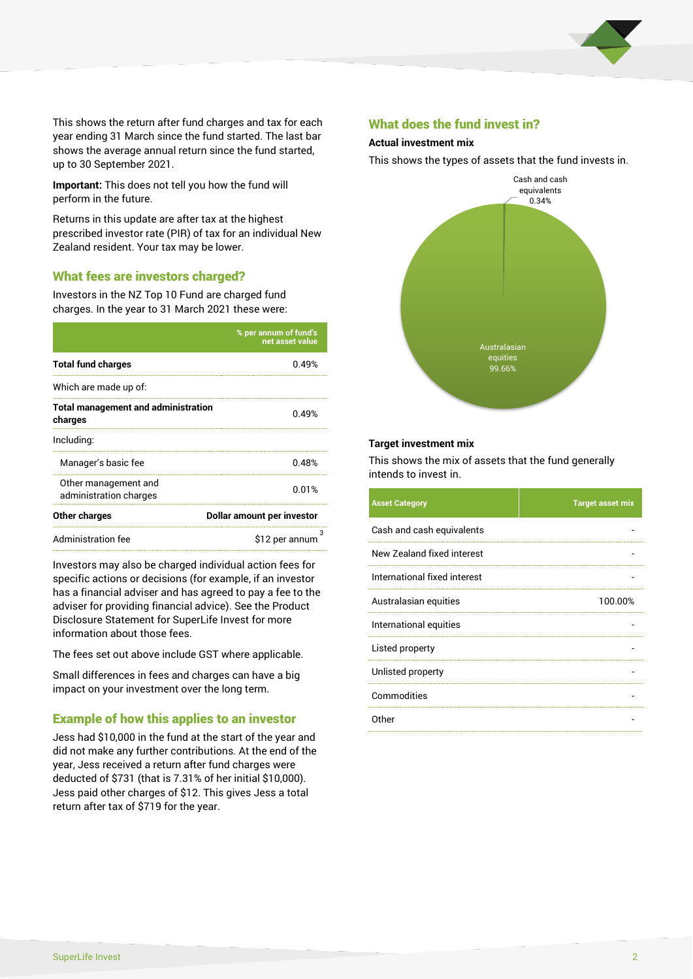

This shows the return after fund charges and tax for each year ending 31 March since the fund started. The last bar shows the average annual return since the fund started, up to 30 September 2021.

**Important:** This does not tell you how the fund will perform in the future.

Returns in this update are after tax at the highest prescribed investor rate (PIR) of tax for an individual New Zealand resident. Your tax may be lower.

# What fees are investors charged?

Investors in the NZ Top 10 Fund are charged fund charges. In the year to 31 March 2021 these were:

|                                                       | % per annum of fund's<br>net asset value |  |
|-------------------------------------------------------|------------------------------------------|--|
| <b>Total fund charges</b>                             | 0.49%                                    |  |
| Which are made up of:                                 |                                          |  |
| <b>Total management and administration</b><br>charges | 0.49%                                    |  |
| Including:                                            |                                          |  |
| Manager's basic fee                                   | 0.48%                                    |  |
| Other management and<br>administration charges        | 0.01%                                    |  |
| Other charges                                         | Dollar amount per investor               |  |
| Administration fee                                    | \$12 per annum                           |  |

Investors may also be charged individual action fees for specific actions or decisions (for example, if an investor has a financial adviser and has agreed to pay a fee to the adviser for providing financial advice). See the Product Disclosure Statement for SuperLife Invest for more information about those fees.

The fees set out above include GST where applicable.

Small differences in fees and charges can have a big impact on your investment over the long term.

# Example of how this applies to an investor

Jess had \$10,000 in the fund at the start of the year and did not make any further contributions. At the end of the year, Jess received a return after fund charges were deducted of \$731 (that is 7.31% of her initial \$10,000). Jess paid other charges of \$12. This gives Jess a total return after tax of \$719 for the year.

#### What does the fund invest in?

#### **Actual investment mix**

This shows the types of assets that the fund invests in.



#### **Target investment mix**

This shows the mix of assets that the fund generally intends to invest in.

| <b>Asset Category</b>        | <b>Target asset mix</b> |
|------------------------------|-------------------------|
| Cash and cash equivalents    |                         |
| New Zealand fixed interest   |                         |
| International fixed interest |                         |
| Australasian equities        | 100.00%                 |
| International equities       |                         |
| Listed property              |                         |
| Unlisted property            |                         |
| Commodities                  |                         |
| Other                        |                         |